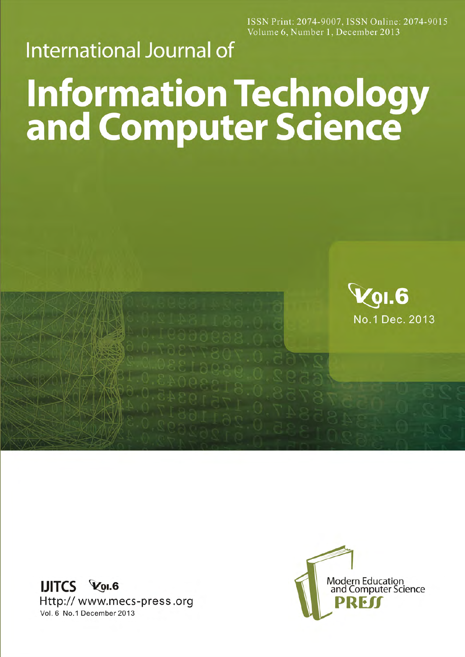ISSN Print: 2074-9007, ISSN Online: 2074-9015 Volume 6, Number 1, December 2013

## **International Journal of**

## **Information Technology<br>and Computer Science**



**IJITCS VOI.6** Http://www.mecs-press.org Vol. 6 No.1 December 2013